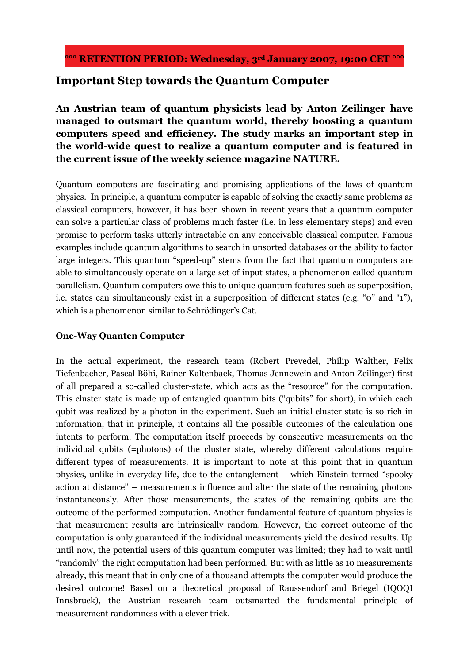# **Important Step towards the Quantum Computer**

**An Austrian team of quantum physicists lead by Anton Zeilinger have managed to outsmart the quantum world, thereby boosting a quantum computers speed and efficiency. The study marks an important step in the world-wide quest to realize a quantum computer and is featured in the current issue of the weekly science magazine NATURE.** 

Quantum computers are fascinating and promising applications of the laws of quantum physics. In principle, a quantum computer is capable of solving the exactly same problems as classical computers, however, it has been shown in recent years that a quantum computer can solve a particular class of problems much faster (i.e. in less elementary steps) and even promise to perform tasks utterly intractable on any conceivable classical computer. Famous examples include quantum algorithms to search in unsorted databases or the ability to factor large integers. This quantum "speed-up" stems from the fact that quantum computers are able to simultaneously operate on a large set of input states, a phenomenon called quantum parallelism. Quantum computers owe this to unique quantum features such as superposition, i.e. states can simultaneously exist in a superposition of different states (e.g. "0" and "1"), which is a phenomenon similar to Schrödinger's Cat.

## **One-Way Quanten Computer**

In the actual experiment, the research team (Robert Prevedel, Philip Walther, Felix Tiefenbacher, Pascal Böhi, Rainer Kaltenbaek, Thomas Jennewein and Anton Zeilinger) first of all prepared a so-called cluster-state, which acts as the "resource" for the computation. This cluster state is made up of entangled quantum bits ("qubits" for short), in which each qubit was realized by a photon in the experiment. Such an initial cluster state is so rich in information, that in principle, it contains all the possible outcomes of the calculation one intents to perform. The computation itself proceeds by consecutive measurements on the individual qubits (=photons) of the cluster state, whereby different calculations require different types of measurements. It is important to note at this point that in quantum physics, unlike in everyday life, due to the entanglement – which Einstein termed "spooky action at distance" – measurements influence and alter the state of the remaining photons instantaneously. After those measurements, the states of the remaining qubits are the outcome of the performed computation. Another fundamental feature of quantum physics is that measurement results are intrinsically random. However, the correct outcome of the computation is only guaranteed if the individual measurements yield the desired results. Up until now, the potential users of this quantum computer was limited; they had to wait until "randomly" the right computation had been performed. But with as little as 10 measurements already, this meant that in only one of a thousand attempts the computer would produce the desired outcome! Based on a theoretical proposal of Raussendorf and Briegel (IQOQI Innsbruck), the Austrian research team outsmarted the fundamental principle of measurement randomness with a clever trick.